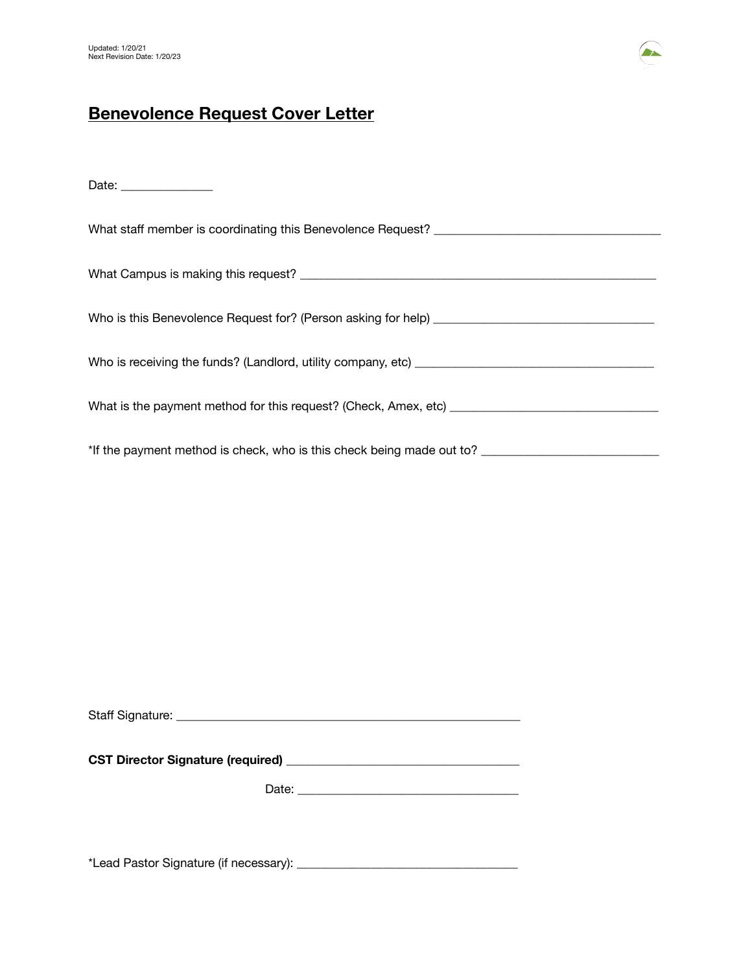

## **Benevolence Request Cover Letter**

Date: \_\_\_\_\_\_\_\_\_\_\_\_\_\_\_

What staff member is coordinating this Benevolence Request? \_\_\_\_\_\_\_\_\_\_\_\_\_\_\_\_\_\_\_\_ What Campus is making this request? \_\_\_\_\_\_\_\_\_\_\_\_\_\_\_\_\_\_\_\_\_\_\_\_\_\_\_\_\_\_\_\_\_\_\_\_\_\_\_\_\_\_\_\_\_\_\_\_\_\_\_\_\_\_\_\_\_\_ Who is this Benevolence Request for? (Person asking for help) \_\_\_\_\_\_\_\_\_\_\_\_\_\_\_\_\_\_\_\_\_\_\_\_\_\_\_\_\_\_\_\_\_\_\_\_ Who is receiving the funds? (Landlord, utility company, etc) \_\_\_\_\_\_\_\_\_\_\_\_\_\_\_\_\_\_\_\_\_\_\_\_\_\_\_\_\_\_\_\_\_\_\_\_\_\_\_ What is the payment method for this request? (Check, Amex, etc) \_\_\_\_\_\_\_\_\_\_\_\_\_\_\_\_\_\_\_\_\_\_\_\_\_\_\_\_\_\_\_\_\_\_ \*If the payment method is check, who is this check being made out to? \_\_\_\_\_\_\_\_\_\_\_\_\_\_\_\_\_\_\_\_\_\_\_\_\_\_\_\_\_

| Staff Signature: |  |
|------------------|--|
|                  |  |

| <b>CST Director Signature (required)</b> |
|------------------------------------------|
|------------------------------------------|

 Date: \_\_\_\_\_\_\_\_\_\_\_\_\_\_\_\_\_\_\_\_\_\_\_\_\_\_\_\_\_\_\_\_\_\_\_\_

\*Lead Pastor Signature (if necessary): \_\_\_\_\_\_\_\_\_\_\_\_\_\_\_\_\_\_\_\_\_\_\_\_\_\_\_\_\_\_\_\_\_\_\_\_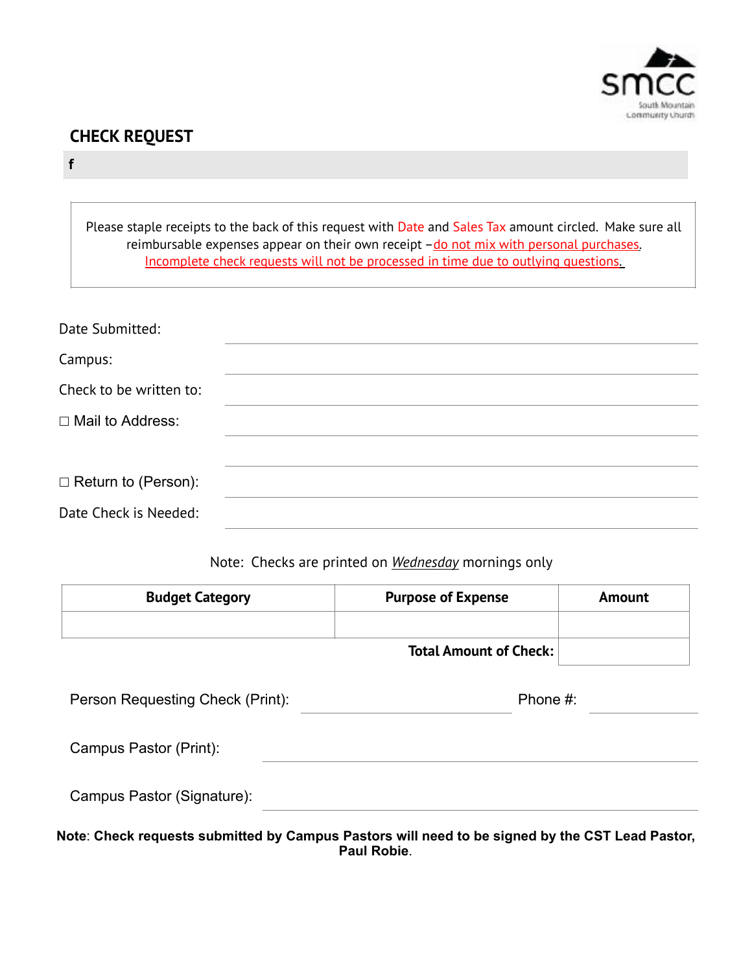

# **CHECK REQUEST**

### **f**

 $\Gamma$ 

| Please staple receipts to the back of this request with Date and Sales Tax amount circled. Make sure all<br>reimbursable expenses appear on their own receipt $-\underline{do}$ not mix with personal purchases.<br>Incomplete check requests will not be processed in time due to outlying questions. |  |  |
|--------------------------------------------------------------------------------------------------------------------------------------------------------------------------------------------------------------------------------------------------------------------------------------------------------|--|--|
| Date Submitted:                                                                                                                                                                                                                                                                                        |  |  |
| Campus:                                                                                                                                                                                                                                                                                                |  |  |
| Check to be written to:                                                                                                                                                                                                                                                                                |  |  |
| □ Mail to Address:                                                                                                                                                                                                                                                                                     |  |  |
|                                                                                                                                                                                                                                                                                                        |  |  |
| $\Box$ Return to (Person):                                                                                                                                                                                                                                                                             |  |  |
| Date Check is Needed:                                                                                                                                                                                                                                                                                  |  |  |

### Note: Checks are printed on *Wednesday* mornings only

| <b>Budget Category</b>           | <b>Purpose of Expense</b>     | Amount |
|----------------------------------|-------------------------------|--------|
|                                  | <b>Total Amount of Check:</b> |        |
| Person Requesting Check (Print): | Phone #:                      |        |
| Campus Pastor (Print):           |                               |        |
| Campus Pastor (Signature):       |                               |        |

**Note**: **Check requests submitted by Campus Pastors will need to be signed by the CST Lead Pastor, Paul Robie**.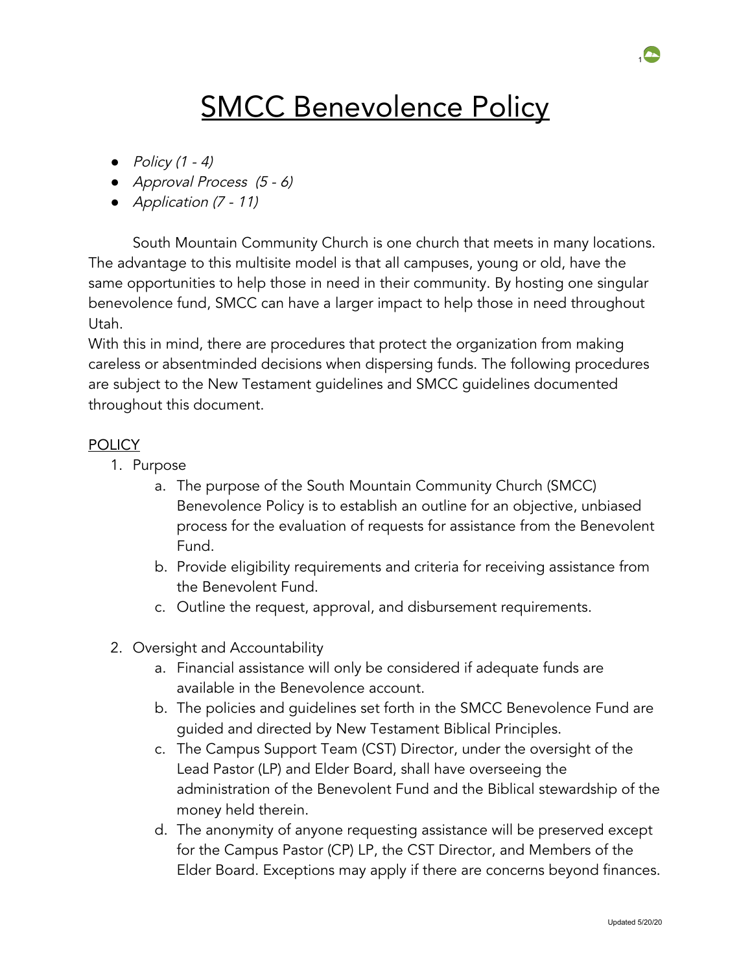# **SMCC Benevolence Policy**

- *●* Policy (1 4)
- *●* Approval Process (5 6)
- *●* Application (7 11)

South Mountain Community Church is one church that meets in many locations. The advantage to this multisite model is that all campuses, young or old, have the same opportunities to help those in need in their community. By hosting one singular benevolence fund, SMCC can have a larger impact to help those in need throughout Utah.

With this in mind, there are procedures that protect the organization from making careless or absentminded decisions when dispersing funds. The following procedures are subject to the New Testament guidelines and SMCC guidelines documented throughout this document.

### POLICY

- 1. Purpose
	- a. The purpose of the South Mountain Community Church (SMCC) Benevolence Policy is to establish an outline for an objective, unbiased process for the evaluation of requests for assistance from the Benevolent Fund.
	- b. Provide eligibility requirements and criteria for receiving assistance from the Benevolent Fund.
	- c. Outline the request, approval, and disbursement requirements.
- 2. Oversight and Accountability
	- a. Financial assistance will only be considered if adequate funds are available in the Benevolence account.
	- b. The policies and guidelines set forth in the SMCC Benevolence Fund are guided and directed by New Testament Biblical Principles.
	- c. The Campus Support Team (CST) Director, under the oversight of the Lead Pastor (LP) and Elder Board, shall have overseeing the administration of the Benevolent Fund and the Biblical stewardship of the money held therein.
	- d. The anonymity of anyone requesting assistance will be preserved except for the Campus Pastor (CP) LP, the CST Director, and Members of the Elder Board. Exceptions may apply if there are concerns beyond finances.

 $\sim$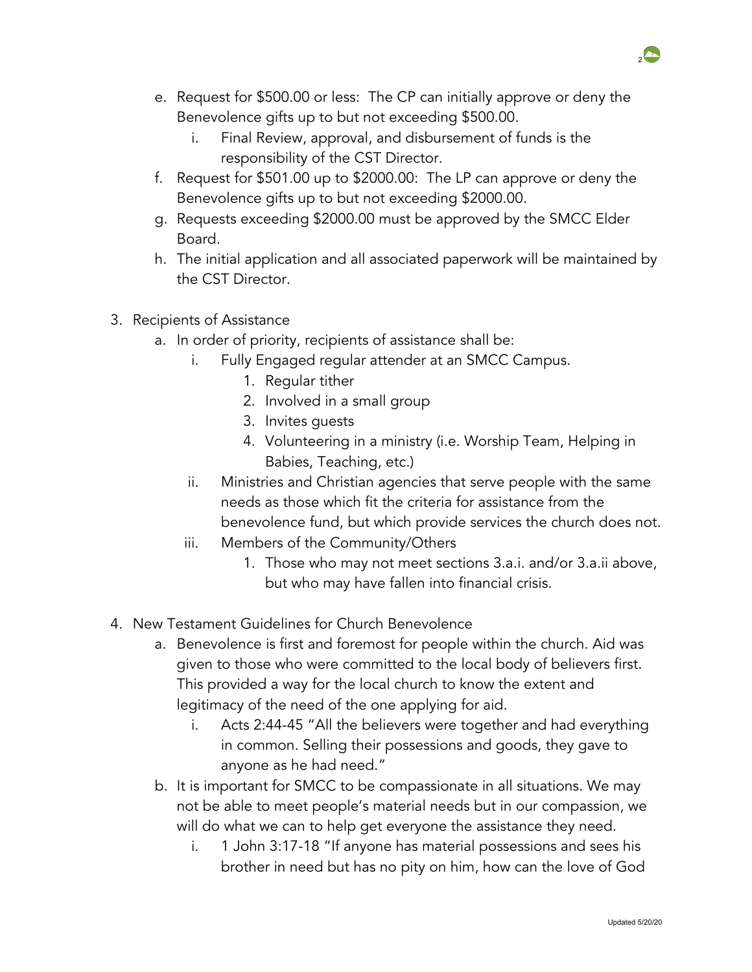- e. Request for \$500.00 or less: The CP can initially approve or deny the Benevolence gifts up to but not exceeding \$500.00.
	- i. Final Review, approval, and disbursement of funds is the responsibility of the CST Director.
- f. Request for \$501.00 up to \$2000.00: The LP can approve or deny the Benevolence gifts up to but not exceeding \$2000.00.
- g. Requests exceeding \$2000.00 must be approved by the SMCC Elder Board.
- h. The initial application and all associated paperwork will be maintained by the CST Director.
- 3. Recipients of Assistance
	- a. In order of priority, recipients of assistance shall be:
		- i. Fully Engaged regular attender at an SMCC Campus.
			- 1. Regular tither
			- 2. Involved in a small group
			- 3. Invites guests
			- 4. Volunteering in a ministry (i.e. Worship Team, Helping in Babies, Teaching, etc.)
		- ii. Ministries and Christian agencies that serve people with the same needs as those which fit the criteria for assistance from the benevolence fund, but which provide services the church does not.
		- iii. Members of the Community/Others
			- 1. Those who may not meet sections 3.a.i. and/or 3.a.ii above, but who may have fallen into financial crisis.
- 4. New Testament Guidelines for Church Benevolence
	- a. Benevolence is first and foremost for people within the church. Aid was given to those who were committed to the local body of believers first. This provided a way for the local church to know the extent and legitimacy of the need of the one applying for aid.
		- i. Acts 2:44-45 "All the believers were together and had everything in common. Selling their possessions and goods, they gave to anyone as he had need."
	- b. It is important for SMCC to be compassionate in all situations. We may not be able to meet people's material needs but in our compassion, we will do what we can to help get everyone the assistance they need.
		- i. 1 John 3:17-18 "If anyone has material possessions and sees his brother in need but has no pity on him, how can the love of God

2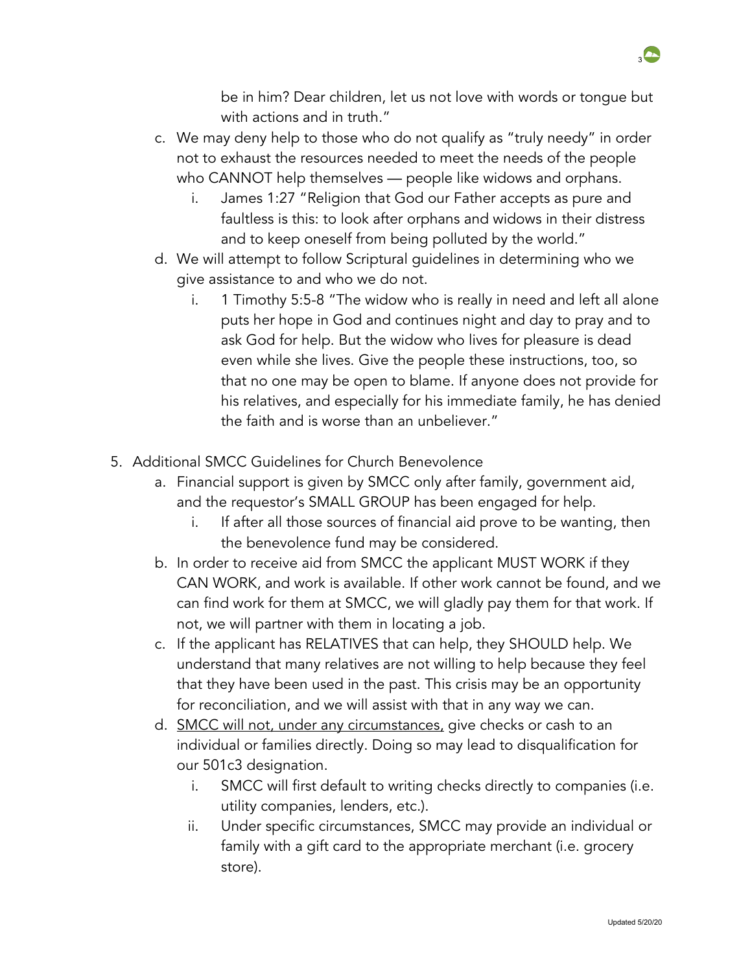

be in him? Dear children, let us not love with words or tongue but with actions and in truth."

- c. We may deny help to those who do not qualify as "truly needy" in order not to exhaust the resources needed to meet the needs of the people who CANNOT help themselves — people like widows and orphans.
	- i. James 1:27 "Religion that God our Father accepts as pure and faultless is this: to look after orphans and widows in their distress and to keep oneself from being polluted by the world."
- d. We will attempt to follow Scriptural guidelines in determining who we give assistance to and who we do not.
	- i. 1 Timothy 5:5-8 "The widow who is really in need and left all alone puts her hope in God and continues night and day to pray and to ask God for help. But the widow who lives for pleasure is dead even while she lives. Give the people these instructions, too, so that no one may be open to blame. If anyone does not provide for his relatives, and especially for his immediate family, he has denied the faith and is worse than an unbeliever."
- 5. Additional SMCC Guidelines for Church Benevolence
	- a. Financial support is given by SMCC only after family, government aid, and the requestor's SMALL GROUP has been engaged for help.
		- i. If after all those sources of financial aid prove to be wanting, then the benevolence fund may be considered.
	- b. In order to receive aid from SMCC the applicant MUST WORK if they CAN WORK, and work is available. If other work cannot be found, and we can find work for them at SMCC, we will gladly pay them for that work. If not, we will partner with them in locating a job.
	- c. If the applicant has RELATIVES that can help, they SHOULD help. We understand that many relatives are not willing to help because they feel that they have been used in the past. This crisis may be an opportunity for reconciliation, and we will assist with that in any way we can.
	- d. SMCC will not, under any circumstances, give checks or cash to an individual or families directly. Doing so may lead to disqualification for our 501c3 designation.
		- i. SMCC will first default to writing checks directly to companies (i.e. utility companies, lenders, etc.).
		- ii. Under specific circumstances, SMCC may provide an individual or family with a gift card to the appropriate merchant (i.e. grocery store).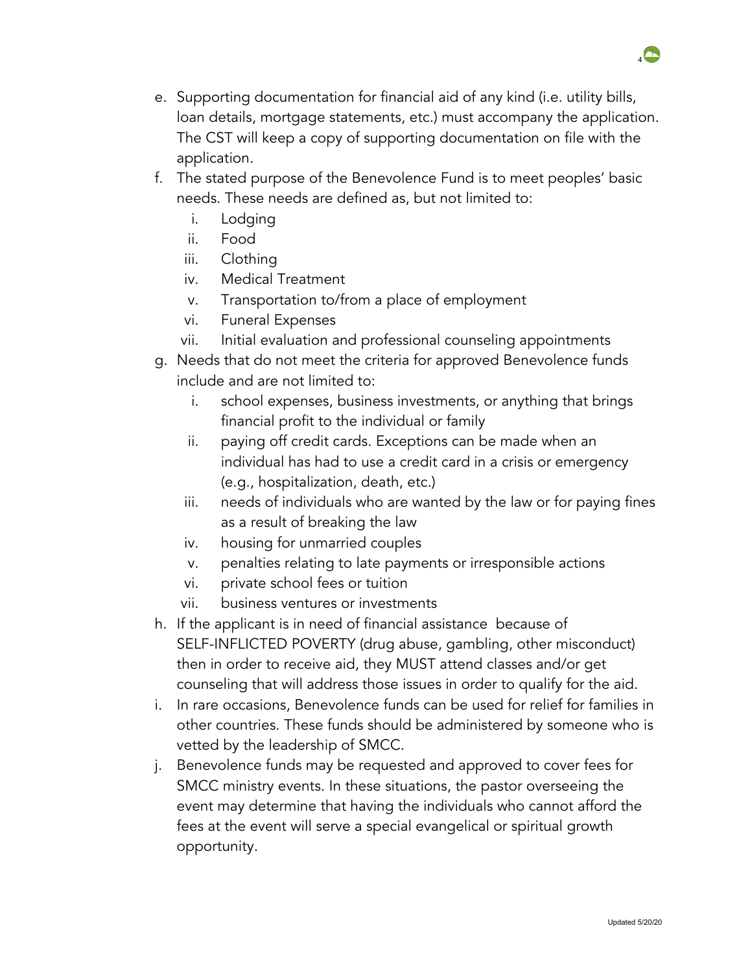- e. Supporting documentation for financial aid of any kind (i.e. utility bills, loan details, mortgage statements, etc.) must accompany the application. The CST will keep a copy of supporting documentation on file with the application.
- f. The stated purpose of the Benevolence Fund is to meet peoples' basic needs. These needs are defined as, but not limited to:
	- i. Lodging
	- ii. Food
	- iii. Clothing
	- iv. Medical Treatment
	- v. Transportation to/from a place of employment
	- vi. Funeral Expenses
	- vii. Initial evaluation and professional counseling appointments
- g. Needs that do not meet the criteria for approved Benevolence funds include and are not limited to:
	- i. school expenses, business investments, or anything that brings financial profit to the individual or family
	- ii. paying off credit cards. Exceptions can be made when an individual has had to use a credit card in a crisis or emergency (e.g., hospitalization, death, etc.)
	- iii. needs of individuals who are wanted by the law or for paying fines as a result of breaking the law
	- iv. housing for unmarried couples
	- v. penalties relating to late payments or irresponsible actions
	- vi. private school fees or tuition
	- vii. business ventures or investments
- h. If the applicant is in need of financial assistance because of SELF-INFLICTED POVERTY (drug abuse, gambling, other misconduct) then in order to receive aid, they MUST attend classes and/or get counseling that will address those issues in order to qualify for the aid.
- i. In rare occasions, Benevolence funds can be used for relief for families in other countries. These funds should be administered by someone who is vetted by the leadership of SMCC.
- j. Benevolence funds may be requested and approved to cover fees for SMCC ministry events. In these situations, the pastor overseeing the event may determine that having the individuals who cannot afford the fees at the event will serve a special evangelical or spiritual growth opportunity.

 $\overline{A}$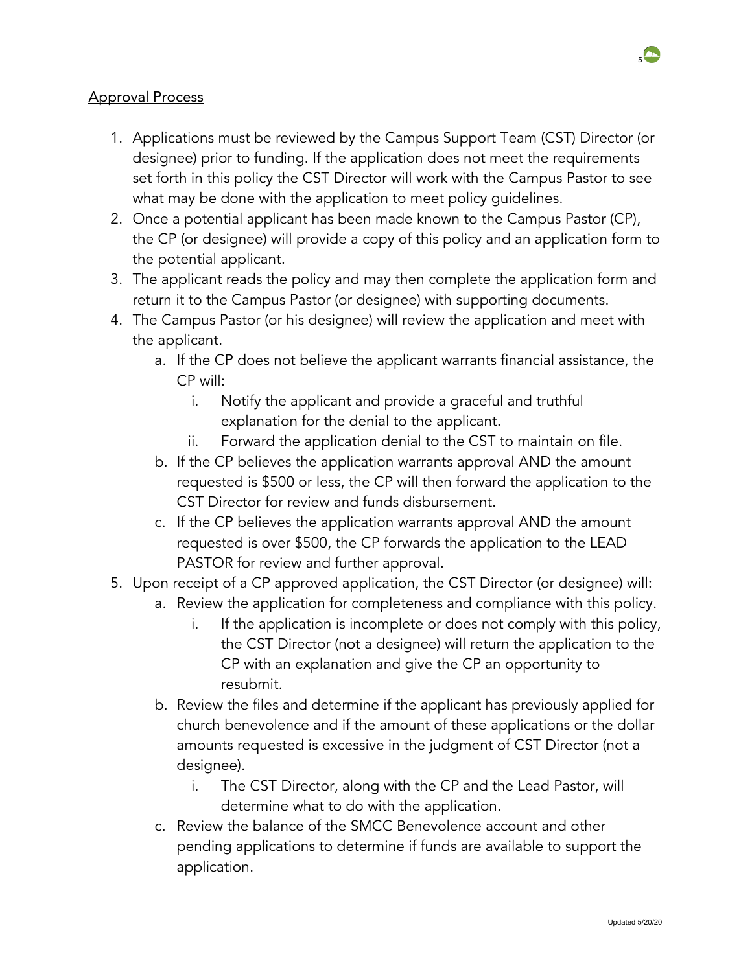### Approval Process

- 1. Applications must be reviewed by the Campus Support Team (CST) Director (or designee) prior to funding. If the application does not meet the requirements set forth in this policy the CST Director will work with the Campus Pastor to see what may be done with the application to meet policy guidelines.
- 2. Once a potential applicant has been made known to the Campus Pastor (CP), the CP (or designee) will provide a copy of this policy and an application form to the potential applicant.
- 3. The applicant reads the policy and may then complete the application form and return it to the Campus Pastor (or designee) with supporting documents.
- 4. The Campus Pastor (or his designee) will review the application and meet with the applicant.
	- a. If the CP does not believe the applicant warrants financial assistance, the CP will:
		- i. Notify the applicant and provide a graceful and truthful explanation for the denial to the applicant.
		- ii. Forward the application denial to the CST to maintain on file.
	- b. If the CP believes the application warrants approval AND the amount requested is \$500 or less, the CP will then forward the application to the CST Director for review and funds disbursement.
	- c. If the CP believes the application warrants approval AND the amount requested is over \$500, the CP forwards the application to the LEAD PASTOR for review and further approval.
- 5. Upon receipt of a CP approved application, the CST Director (or designee) will:
	- a. Review the application for completeness and compliance with this policy.
		- i. If the application is incomplete or does not comply with this policy, the CST Director (not a designee) will return the application to the CP with an explanation and give the CP an opportunity to resubmit.
	- b. Review the files and determine if the applicant has previously applied for church benevolence and if the amount of these applications or the dollar amounts requested is excessive in the judgment of CST Director (not a designee).
		- i. The CST Director, along with the CP and the Lead Pastor, will determine what to do with the application.
	- c. Review the balance of the SMCC Benevolence account and other pending applications to determine if funds are available to support the application.

 $\overline{a}$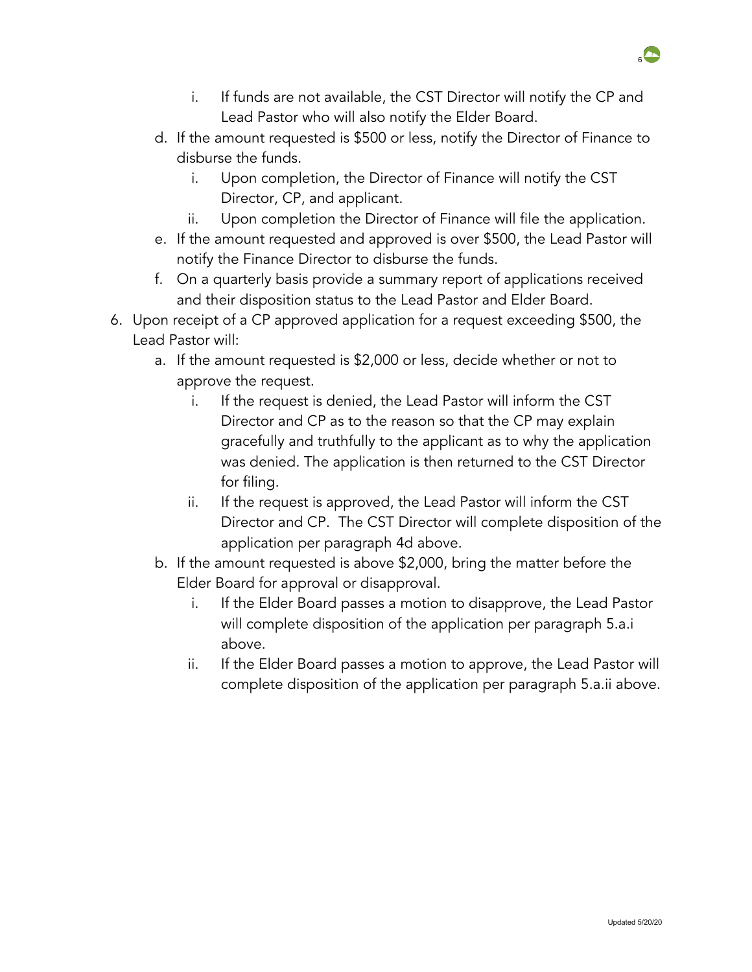- i. If funds are not available, the CST Director will notify the CP and Lead Pastor who will also notify the Elder Board.
- d. If the amount requested is \$500 or less, notify the Director of Finance to disburse the funds.
	- i. Upon completion, the Director of Finance will notify the CST Director, CP, and applicant.
	- ii. Upon completion the Director of Finance will file the application.
- e. If the amount requested and approved is over \$500, the Lead Pastor will notify the Finance Director to disburse the funds.
- f. On a quarterly basis provide a summary report of applications received and their disposition status to the Lead Pastor and Elder Board.
- 6. Upon receipt of a CP approved application for a request exceeding \$500, the Lead Pastor will:
	- a. If the amount requested is \$2,000 or less, decide whether or not to approve the request.
		- i. If the request is denied, the Lead Pastor will inform the CST Director and CP as to the reason so that the CP may explain gracefully and truthfully to the applicant as to why the application was denied. The application is then returned to the CST Director for filing.
		- ii. If the request is approved, the Lead Pastor will inform the CST Director and CP. The CST Director will complete disposition of the application per paragraph 4d above.
	- b. If the amount requested is above \$2,000, bring the matter before the Elder Board for approval or disapproval.
		- i. If the Elder Board passes a motion to disapprove, the Lead Pastor will complete disposition of the application per paragraph 5.a.i above.
		- ii. If the Elder Board passes a motion to approve, the Lead Pastor will complete disposition of the application per paragraph 5.a.ii above.



 $6$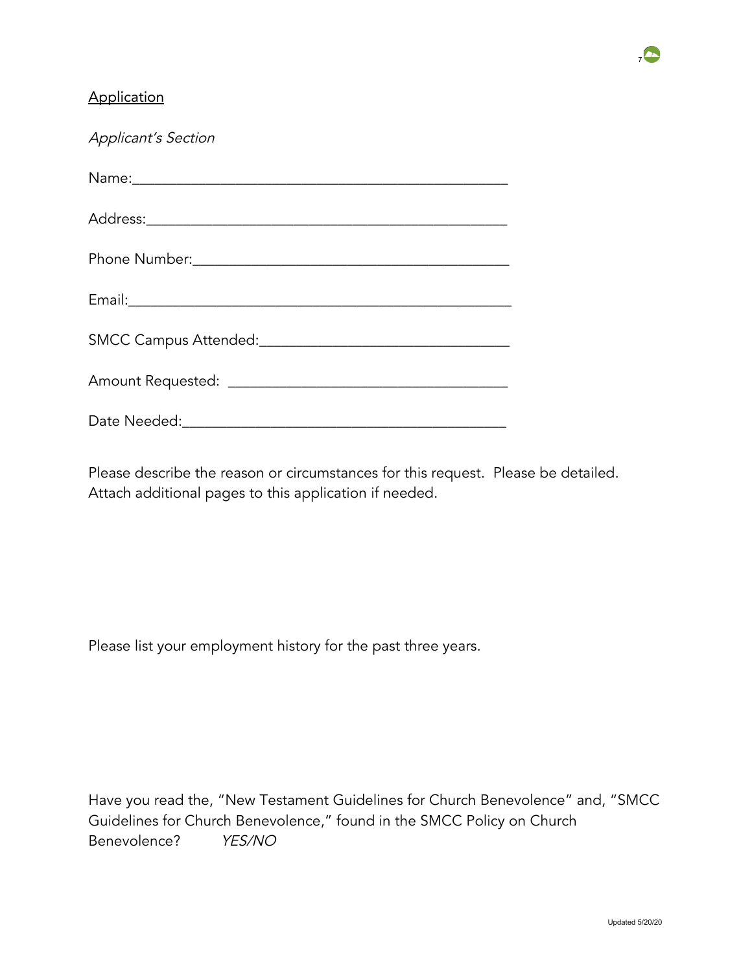### **Application**

| <b>Applicant's Section</b> |  |  |
|----------------------------|--|--|
|                            |  |  |
|                            |  |  |
|                            |  |  |
|                            |  |  |
|                            |  |  |
|                            |  |  |
| Date Needed:               |  |  |

Please describe the reason or circumstances for this request. Please be detailed. Attach additional pages to this application if needed.

Please list your employment history for the past three years.

Have you read the, "New Testament Guidelines for Church Benevolence" and, "SMCC Guidelines for Church Benevolence," found in the SMCC Policy on Church Benevolence? YES/NO

 $\overline{A}$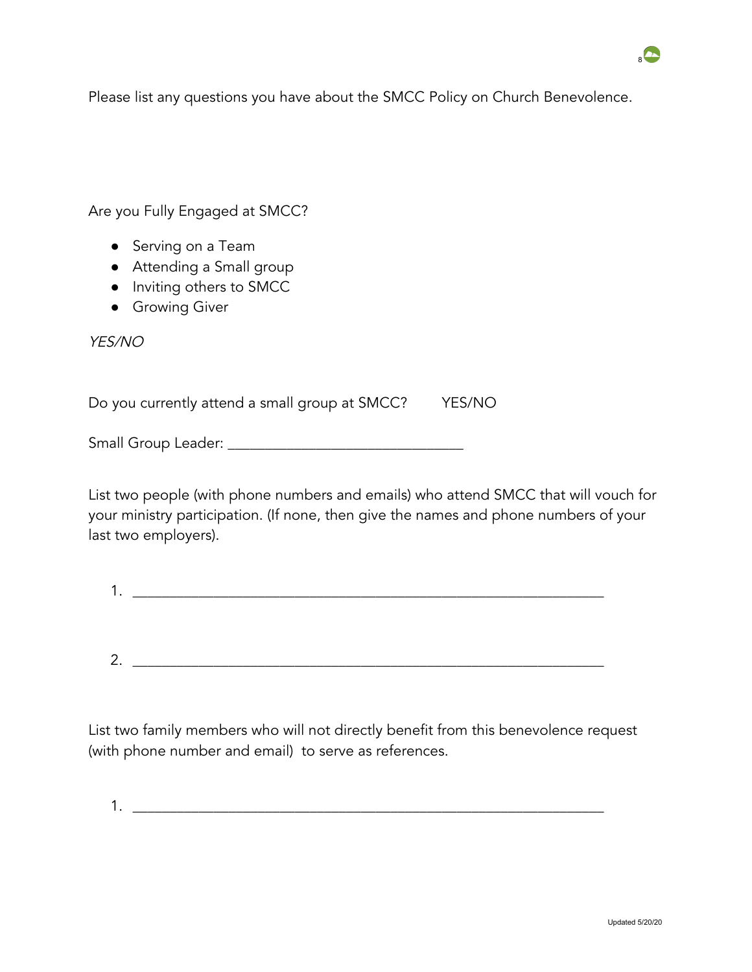Please list any questions you have about the SMCC Policy on Church Benevolence.

Are you Fully Engaged at SMCC?

- Serving on a Team
- Attending a Small group
- Inviting others to SMCC
- **•** Growing Giver

YES/NO

Do you currently attend a small group at SMCC? YES/NO

Small Group Leader: \_\_\_\_\_\_\_\_\_\_\_\_\_\_\_\_\_\_\_\_\_\_\_\_\_\_\_\_\_\_\_\_

List two people (with phone numbers and emails) who attend SMCC that will vouch for your ministry participation. (If none, then give the names and phone numbers of your last two employers).

| ⌒<br>٠ |  |  |  |
|--------|--|--|--|

List two family members who will not directly benefit from this benevolence request (with phone number and email) to serve as references.

1. \_\_\_\_\_\_\_\_\_\_\_\_\_\_\_\_\_\_\_\_\_\_\_\_\_\_\_\_\_\_\_\_\_\_\_\_\_\_\_\_\_\_\_\_\_\_\_\_\_\_\_\_\_\_\_\_\_\_\_\_\_\_\_\_

 $\overline{\bullet}$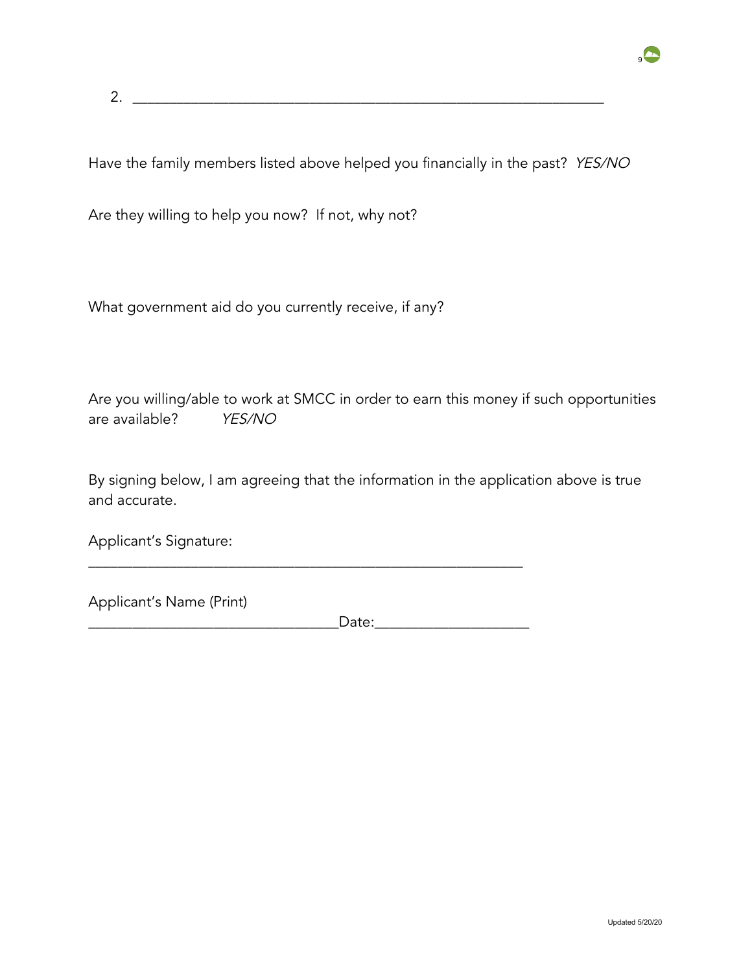2.  $\frac{1}{2}$   $\frac{1}{2}$   $\frac{1}{2}$   $\frac{1}{2}$   $\frac{1}{2}$   $\frac{1}{2}$   $\frac{1}{2}$   $\frac{1}{2}$   $\frac{1}{2}$   $\frac{1}{2}$   $\frac{1}{2}$   $\frac{1}{2}$   $\frac{1}{2}$   $\frac{1}{2}$   $\frac{1}{2}$   $\frac{1}{2}$   $\frac{1}{2}$   $\frac{1}{2}$   $\frac{1}{2}$   $\frac{1}{2}$   $\frac{1}{2}$   $\frac{1}{2}$ 

Have the family members listed above helped you financially in the past? YES/NO

Are they willing to help you now? If not, why not?

What government aid do you currently receive, if any?

Are you willing/able to work at SMCC in order to earn this money if such opportunities are available? YES/NO

By signing below, I am agreeing that the information in the application above is true and accurate.

\_\_\_\_\_\_\_\_\_\_\_\_\_\_\_\_\_\_\_\_\_\_\_\_\_\_\_\_\_\_\_\_\_\_\_\_\_\_\_\_\_\_\_\_\_\_\_\_\_\_\_\_\_\_\_\_\_\_\_

Applicant's Signature:

Applicant's Name (Print)

\_\_\_\_\_\_\_\_\_\_\_\_\_\_\_\_\_\_\_\_\_\_\_\_\_\_\_\_\_\_\_\_\_\_Date:\_\_\_\_\_\_\_\_\_\_\_\_\_\_\_\_\_\_\_\_\_

 $\overline{\bullet}$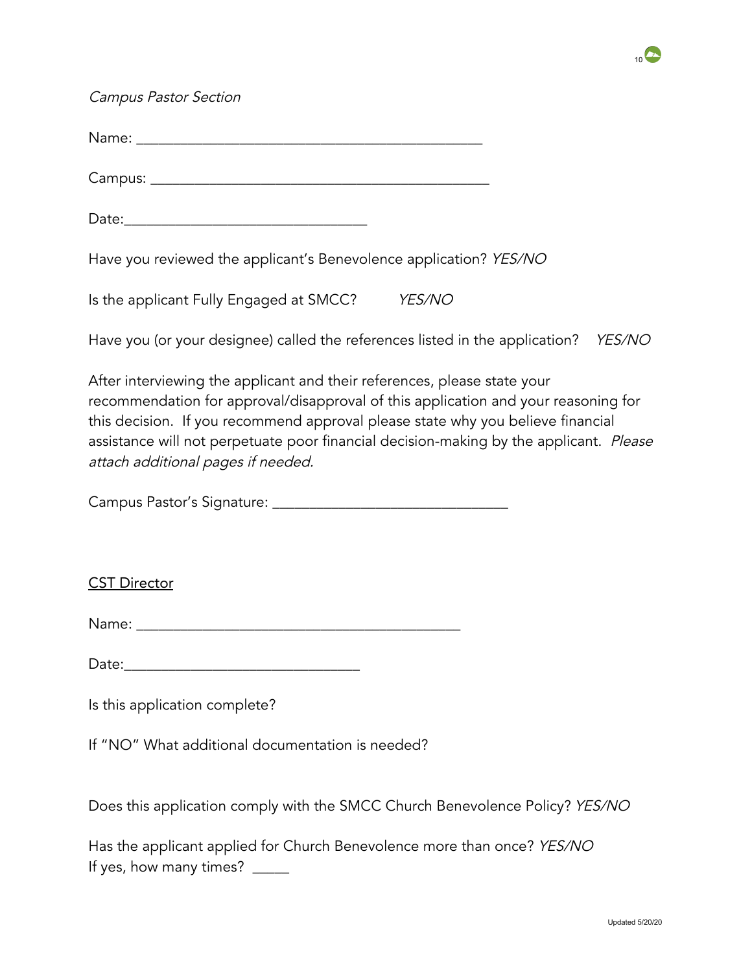

Campus Pastor Section

Name:  $\blacksquare$ 

Campus: \_\_\_\_\_\_\_\_\_\_\_\_\_\_\_\_\_\_\_\_\_\_\_\_\_\_\_\_\_\_\_\_\_\_\_\_\_\_\_\_\_\_\_\_\_\_

 $Date:$ 

Have you reviewed the applicant's Benevolence application? YES/NO

Is the applicant Fully Engaged at SMCC? YES/NO

Have you (or your designee) called the references listed in the application? YES/NO

After interviewing the applicant and their references, please state your recommendation for approval/disapproval of this application and your reasoning for this decision. If you recommend approval please state why you believe financial assistance will not perpetuate poor financial decision-making by the applicant. Please attach additional pages if needed.

Campus Pastor's Signature: \_\_\_\_\_\_\_\_\_\_\_\_\_\_\_\_\_\_\_\_\_\_\_\_\_\_\_\_\_\_\_\_

CST Director

Name: \_\_\_\_\_\_\_\_\_\_\_\_\_\_\_\_\_\_\_\_\_\_\_\_\_\_\_\_\_\_\_\_\_\_\_\_\_\_\_\_\_\_\_\_

Date:\_\_\_\_\_\_\_\_\_\_\_\_\_\_\_\_\_\_\_\_\_\_\_\_\_\_\_\_\_\_\_\_

Is this application complete?

If "NO" What additional documentation is needed?

Does this application comply with the SMCC Church Benevolence Policy? YES/NO

Has the applicant applied for Church Benevolence more than once? YES/NO If yes, how many times? \_\_\_\_\_